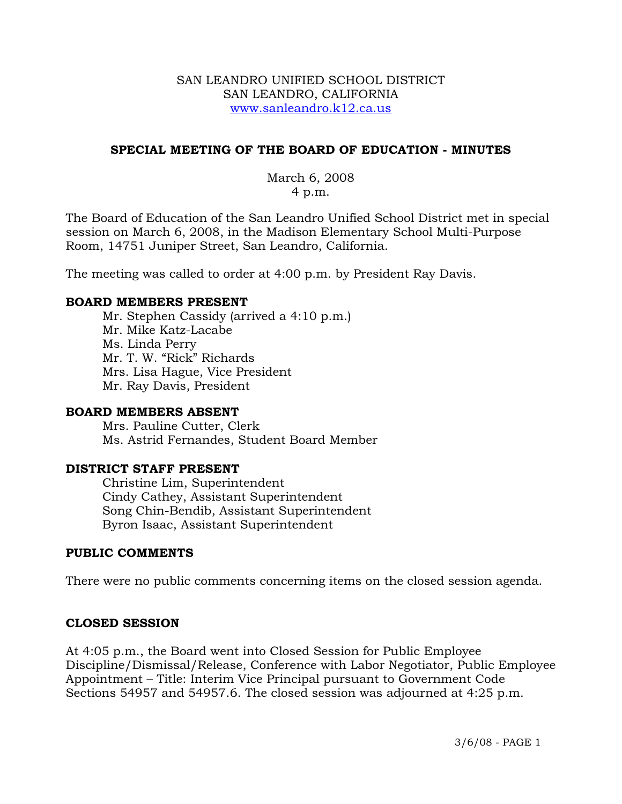### SAN LEANDRO UNIFIED SCHOOL DISTRICT SAN LEANDRO, CALIFORNIA www.sanleandro.k12.ca.us

### **SPECIAL MEETING OF THE BOARD OF EDUCATION - MINUTES**

# March 6, 2008 4 p.m.

The Board of Education of the San Leandro Unified School District met in special session on March 6, 2008, in the Madison Elementary School Multi-Purpose Room, 14751 Juniper Street, San Leandro, California.

The meeting was called to order at 4:00 p.m. by President Ray Davis.

### **BOARD MEMBERS PRESENT**

Mr. Stephen Cassidy (arrived a 4:10 p.m.) Mr. Mike Katz-Lacabe Ms. Linda Perry Mr. T. W. "Rick" Richards Mrs. Lisa Hague, Vice President Mr. Ray Davis, President

### **BOARD MEMBERS ABSENT**

Mrs. Pauline Cutter, Clerk Ms. Astrid Fernandes, Student Board Member

# **DISTRICT STAFF PRESENT**

Christine Lim, Superintendent Cindy Cathey, Assistant Superintendent Song Chin-Bendib, Assistant Superintendent Byron Isaac, Assistant Superintendent

# **PUBLIC COMMENTS**

There were no public comments concerning items on the closed session agenda.

# **CLOSED SESSION**

At 4:05 p.m., the Board went into Closed Session for Public Employee Discipline/Dismissal/Release, Conference with Labor Negotiator, Public Employee Appointment – Title: Interim Vice Principal pursuant to Government Code Sections 54957 and 54957.6. The closed session was adjourned at 4:25 p.m.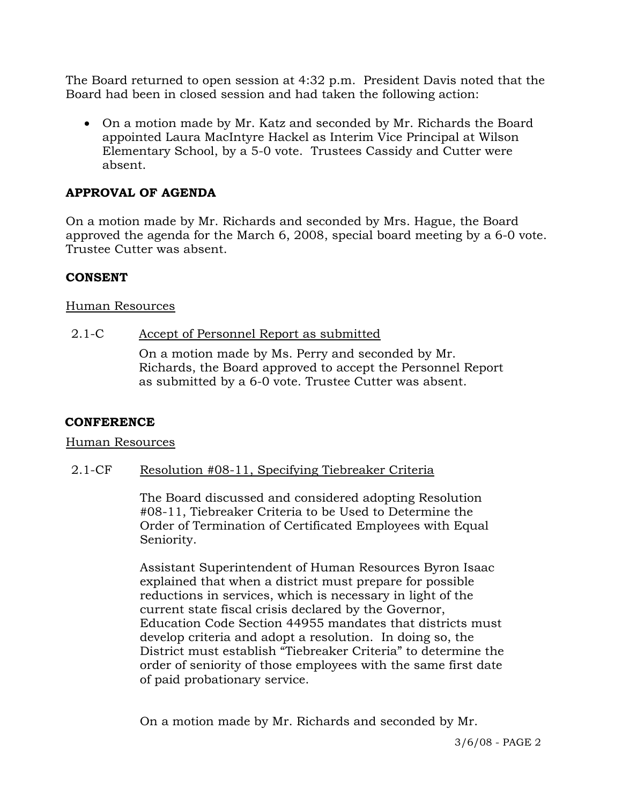The Board returned to open session at 4:32 p.m. President Davis noted that the Board had been in closed session and had taken the following action:

• On a motion made by Mr. Katz and seconded by Mr. Richards the Board appointed Laura MacIntyre Hackel as Interim Vice Principal at Wilson Elementary School, by a 5-0 vote. Trustees Cassidy and Cutter were absent.

# **APPROVAL OF AGENDA**

On a motion made by Mr. Richards and seconded by Mrs. Hague, the Board approved the agenda for the March 6, 2008, special board meeting by a 6-0 vote. Trustee Cutter was absent.

# **CONSENT**

### Human Resources

### 2.1-C Accept of Personnel Report as submitted

On a motion made by Ms. Perry and seconded by Mr. Richards, the Board approved to accept the Personnel Report as submitted by a 6-0 vote. Trustee Cutter was absent.

### **CONFERENCE**

### Human Resources

### 2.1-CF Resolution #08-11, Specifying Tiebreaker Criteria

The Board discussed and considered adopting Resolution #08-11, Tiebreaker Criteria to be Used to Determine the Order of Termination of Certificated Employees with Equal Seniority.

Assistant Superintendent of Human Resources Byron Isaac explained that when a district must prepare for possible reductions in services, which is necessary in light of the current state fiscal crisis declared by the Governor, Education Code Section 44955 mandates that districts must develop criteria and adopt a resolution. In doing so, the District must establish "Tiebreaker Criteria" to determine the order of seniority of those employees with the same first date of paid probationary service.

On a motion made by Mr. Richards and seconded by Mr.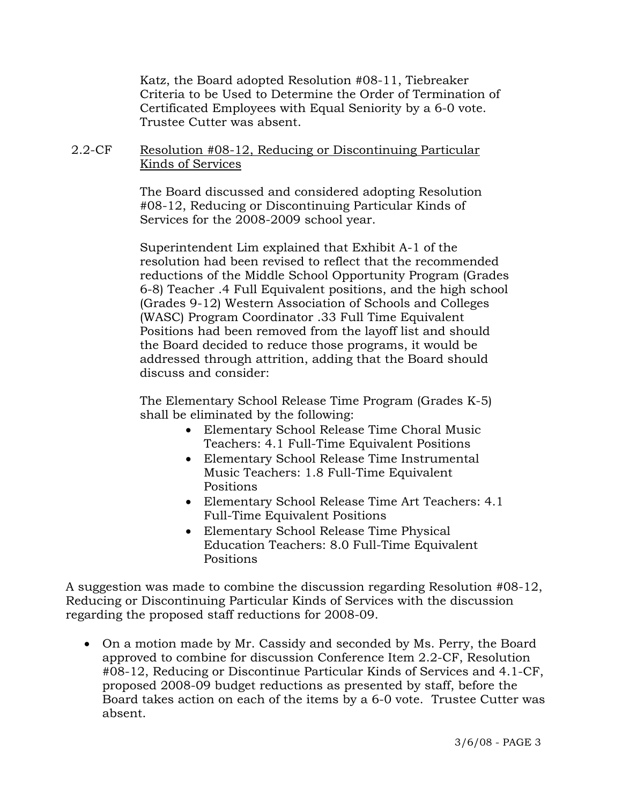Katz, the Board adopted Resolution #08-11, Tiebreaker Criteria to be Used to Determine the Order of Termination of Certificated Employees with Equal Seniority by a 6-0 vote. Trustee Cutter was absent.

# 2.2-CF Resolution #08-12, Reducing or Discontinuing Particular Kinds of Services

The Board discussed and considered adopting Resolution #08-12, Reducing or Discontinuing Particular Kinds of Services for the 2008-2009 school year.

Superintendent Lim explained that Exhibit A-1 of the resolution had been revised to reflect that the recommended reductions of the Middle School Opportunity Program (Grades 6-8) Teacher .4 Full Equivalent positions, and the high school (Grades 9-12) Western Association of Schools and Colleges (WASC) Program Coordinator .33 Full Time Equivalent Positions had been removed from the layoff list and should the Board decided to reduce those programs, it would be addressed through attrition, adding that the Board should discuss and consider:

The Elementary School Release Time Program (Grades K-5) shall be eliminated by the following:

- Elementary School Release Time Choral Music Teachers: 4.1 Full-Time Equivalent Positions
- Elementary School Release Time Instrumental Music Teachers: 1.8 Full-Time Equivalent Positions
- Elementary School Release Time Art Teachers: 4.1 Full-Time Equivalent Positions
- Elementary School Release Time Physical Education Teachers: 8.0 Full-Time Equivalent Positions

A suggestion was made to combine the discussion regarding Resolution #08-12, Reducing or Discontinuing Particular Kinds of Services with the discussion regarding the proposed staff reductions for 2008-09.

• On a motion made by Mr. Cassidy and seconded by Ms. Perry, the Board approved to combine for discussion Conference Item 2.2-CF, Resolution #08-12, Reducing or Discontinue Particular Kinds of Services and 4.1-CF, proposed 2008-09 budget reductions as presented by staff, before the Board takes action on each of the items by a 6-0 vote. Trustee Cutter was absent.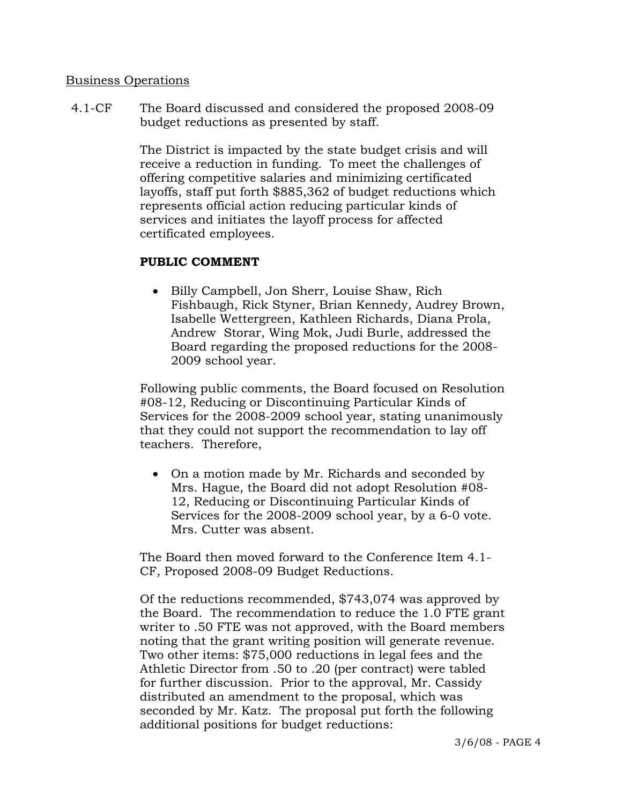### Business Operations

4.1-CF The Board discussed and considered the proposed 2008-09 budget reductions as presented by staff.

> The District is impacted by the state budget crisis and will receive a reduction in funding. To meet the challenges of offering competitive salaries and minimizing certificated layoffs, staff put forth \$885,362 of budget reductions which represents official action reducing particular kinds of services and initiates the layoff process for affected certificated employees.

### **PUBLIC COMMENT**

• Billy Campbell, Jon Sherr, Louise Shaw, Rich Fishbaugh, Rick Styner, Brian Kennedy, Audrey Brown, Isabelle Wettergreen, Kathleen Richards, Diana Prola, Andrew Storar, Wing Mok, Judi Burle, addressed the Board regarding the proposed reductions for the 2008- 2009 school year.

Following public comments, the Board focused on Resolution #08-12, Reducing or Discontinuing Particular Kinds of Services for the 2008-2009 school year, stating unanimously that they could not support the recommendation to lay off teachers. Therefore,

• On a motion made by Mr. Richards and seconded by Mrs. Hague, the Board did not adopt Resolution #08- 12, Reducing or Discontinuing Particular Kinds of Services for the 2008-2009 school year, by a 6-0 vote. Mrs. Cutter was absent.

The Board then moved forward to the Conference Item 4.1- CF, Proposed 2008-09 Budget Reductions.

Of the reductions recommended, \$743,074 was approved by the Board. The recommendation to reduce the 1.0 FTE grant writer to .50 FTE was not approved, with the Board members noting that the grant writing position will generate revenue. Two other items: \$75,000 reductions in legal fees and the Athletic Director from .50 to .20 (per contract) were tabled for further discussion. Prior to the approval, Mr. Cassidy distributed an amendment to the proposal, which was seconded by Mr. Katz. The proposal put forth the following additional positions for budget reductions: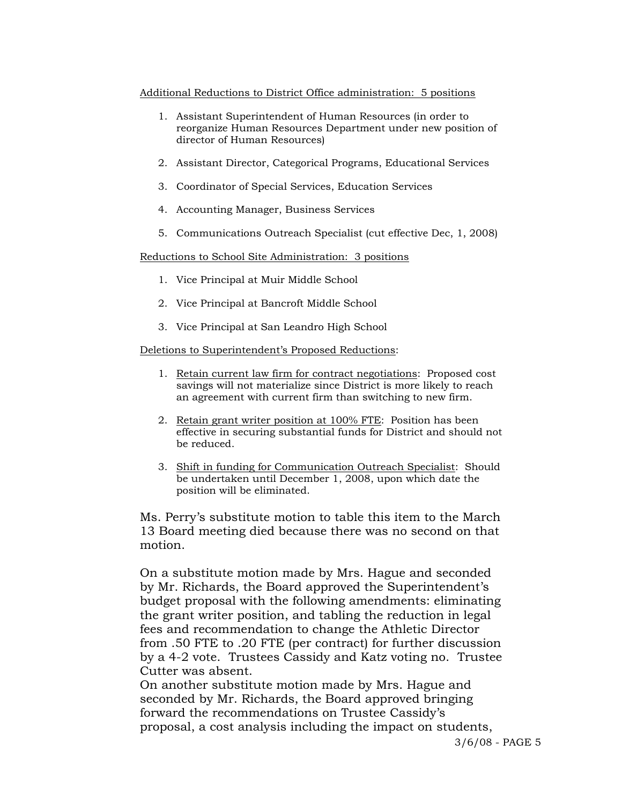#### Additional Reductions to District Office administration: 5 positions

- 1. Assistant Superintendent of Human Resources (in order to reorganize Human Resources Department under new position of director of Human Resources)
- 2. Assistant Director, Categorical Programs, Educational Services
- 3. Coordinator of Special Services, Education Services
- 4. Accounting Manager, Business Services
- 5. Communications Outreach Specialist (cut effective Dec, 1, 2008)

Reductions to School Site Administration: 3 positions

- 1. Vice Principal at Muir Middle School
- 2. Vice Principal at Bancroft Middle School
- 3. Vice Principal at San Leandro High School

#### Deletions to Superintendent's Proposed Reductions:

- 1. Retain current law firm for contract negotiations: Proposed cost savings will not materialize since District is more likely to reach an agreement with current firm than switching to new firm.
- 2. Retain grant writer position at 100% FTE: Position has been effective in securing substantial funds for District and should not be reduced.
- 3. Shift in funding for Communication Outreach Specialist: Should be undertaken until December 1, 2008, upon which date the position will be eliminated.

Ms. Perry's substitute motion to table this item to the March 13 Board meeting died because there was no second on that motion.

On a substitute motion made by Mrs. Hague and seconded by Mr. Richards, the Board approved the Superintendent's budget proposal with the following amendments: eliminating the grant writer position, and tabling the reduction in legal fees and recommendation to change the Athletic Director from .50 FTE to .20 FTE (per contract) for further discussion by a 4-2 vote. Trustees Cassidy and Katz voting no. Trustee Cutter was absent.

On another substitute motion made by Mrs. Hague and seconded by Mr. Richards, the Board approved bringing forward the recommendations on Trustee Cassidy's proposal, a cost analysis including the impact on students,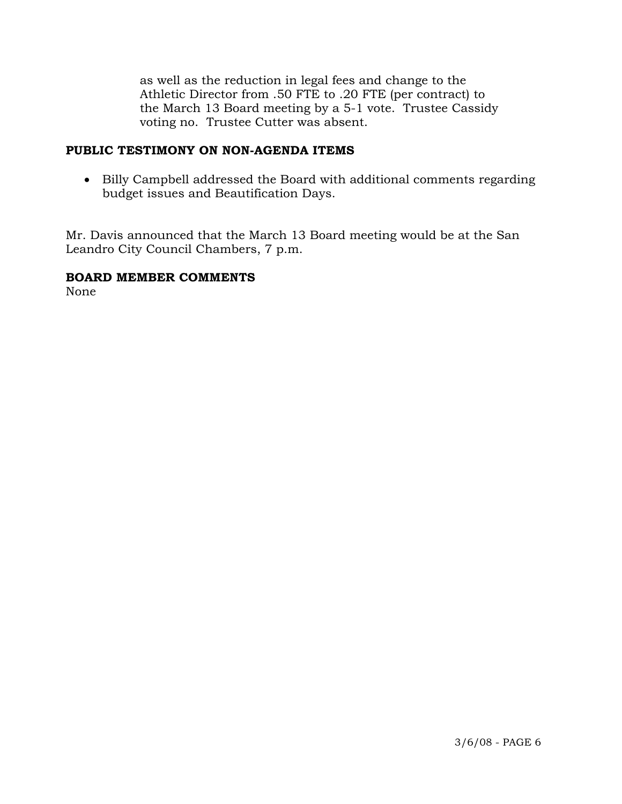as well as the reduction in legal fees and change to the Athletic Director from .50 FTE to .20 FTE (per contract) to the March 13 Board meeting by a 5-1 vote. Trustee Cassidy voting no. Trustee Cutter was absent.

### **PUBLIC TESTIMONY ON NON-AGENDA ITEMS**

• Billy Campbell addressed the Board with additional comments regarding budget issues and Beautification Days.

Mr. Davis announced that the March 13 Board meeting would be at the San Leandro City Council Chambers, 7 p.m.

### **BOARD MEMBER COMMENTS**

None